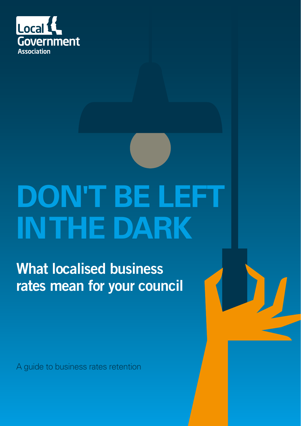

# **DON'T BE LEFT IN THE DARK**

What localised business rates mean for your council

A guide to business rates retention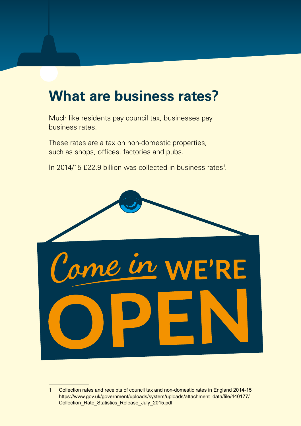## **What are business rates?**

Much like residents pay council tax, businesses pay business rates.

These rates are a tax on non-domestic properties, such as shops, offices, factories and pubs.

In 2014/15 £22.9 billion was collected in business rates<sup>1</sup>.



<sup>1</sup> Collection rates and receipts of council tax and non-domestic rates in England 2014-15 https://www.gov.uk/government/uploads/system/uploads/attachment\_data/file/440177/ Collection\_Rate\_Statistics\_Release\_July\_2015.pdf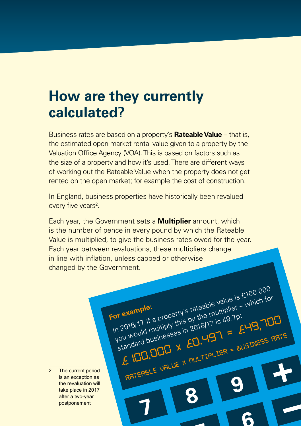## **How are they currently calculated?**

Business rates are based on a property's **Rateable Value** – that is, the estimated open market rental value given to a property by the Valuation Office Agency (VOA). This is based on factors such as the size of a property and how it's used. There are different ways of working out the Rateable Value when the property does not get rented on the open market; for example the cost of construction.

In England, business properties have historically been revalued every five years<sup>2</sup>.

Each year, the Government sets a **Multiplier** amount, which is the number of pence in every pound by which the Rateable Value is multiplied, to give the business rates owed for the year. Each year between revaluations, these multipliers change in line with inflation, unless capped or otherwise changed by the Government.

> In 2016/17, if a property's rateable value is £100,000 you would multiply this by the multiplier – which for

> > **<sup>9</sup> <sup>8</sup> <sup>7</sup>**

*£100,000 x £0.497 = £49,700*

RATEABLE VALUE X MULTIPLIER = BUSINESS RATE

**<sup>6</sup> <sup>5</sup>**

Standard businesses in 2016/17 is 49.7p:

**For example:**

2 The current period is an exception as the revaluation will take place in 2017 after a two-year postponement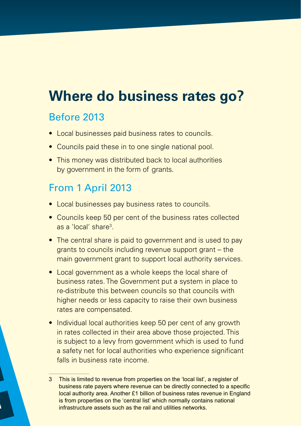# **Where do business rates go?**

#### Before 2013

- Local businesses paid business rates to councils.
- Councils paid these in to one single national pool.
- This money was distributed back to local authorities by government in the form of grants.

#### From 1 April 2013

- Local businesses pay business rates to councils.
- Councils keep 50 per cent of the business rates collected as a 'local' share3 .
- The central share is paid to government and is used to pay grants to councils including revenue support grant – the main government grant to support local authority services.
- Local government as a whole keeps the local share of business rates. The Government put a system in place to re-distribute this between councils so that councils with higher needs or less capacity to raise their own business rates are compensated.
- Individual local authorities keep 50 per cent of any growth in rates collected in their area above those projected. This is subject to a levy from government which is used to fund a safety net for local authorities who experience significant falls in business rate income.

<sup>3</sup> This is limited to revenue from properties on the 'local list', a register of business rate payers where revenue can be directly connected to a specific local authority area. Another £1 billion of business rates revenue in England is from properties on the 'central list' which normally contains national infrastructure assets such as the rail and utilities networks.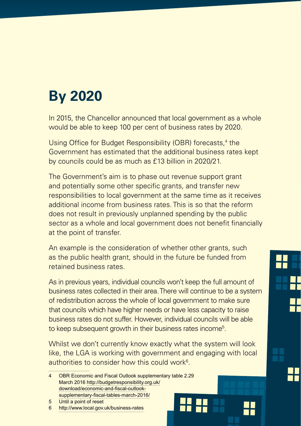# **By 2020**

In 2015, the Chancellor announced that local government as a whole would be able to keep 100 per cent of business rates by 2020.

Using Office for Budget Responsibility (OBR) forecasts,<sup>4</sup> the Government has estimated that the additional business rates kept by councils could be as much as £13 billion in 2020/21.

The Government's aim is to phase out revenue support grant and potentially some other specific grants, and transfer new responsibilities to local government at the same time as it receives additional income from business rates. This is so that the reform does not result in previously unplanned spending by the public sector as a whole and local government does not benefit financially at the point of transfer.

An example is the consideration of whether other grants, such as the public health grant, should in the future be funded from retained business rates.

As in previous years, individual councils won't keep the full amount of business rates collected in their area. There will continue to be a system of redistribution across the whole of local government to make sure that councils which have higher needs or have less capacity to raise business rates do not suffer. However, individual councils will be able to keep subsequent growth in their business rates income<sup>5</sup>.

Whilst we don't currently know exactly what the system will look like, the LGA is working with government and engaging with local authorities to consider how this could work $\rm ^6$ .

4 OBR Economic and Fiscal Outlook supplementary table 2.29 March 2016 [http://budgetresponsibility.org.uk/](http://budgetresponsibility.org.uk/download/economic-and-fiscal-outlook-supplementary-fiscal-tables-march-2016/) [download/economic-and-fiscal-outlook](http://budgetresponsibility.org.uk/download/economic-and-fiscal-outlook-supplementary-fiscal-tables-march-2016/)[supplementary-fiscal-tables-march-2016/](http://budgetresponsibility.org.uk/download/economic-and-fiscal-outlook-supplementary-fiscal-tables-march-2016/)



<sup>5</sup> Until a point of reset

<sup>6</sup> <http://www.local.gov.uk/business-rates>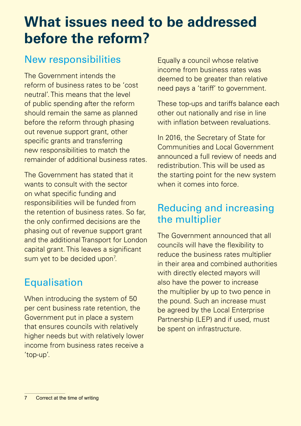# **What issues need to be addressed before the reform?**

#### New responsibilities

The Government intends the reform of business rates to be 'cost neutral'. This means that the level of public spending after the reform should remain the same as planned before the reform through phasing out revenue support grant, other specific grants and transferring new responsibilities to match the remainder of additional business rates.

The Government has stated that it wants to consult with the sector on what specific funding and responsibilities will be funded from the retention of business rates. So far, the only confirmed decisions are the phasing out of revenue support grant and the additional Transport for London capital grant. This leaves a significant sum yet to be decided upon<sup>7</sup>.

#### **Equalisation**

When introducing the system of 50 per cent business rate retention, the Government put in place a system that ensures councils with relatively higher needs but with relatively lower income from business rates receive a 'top-up'.

Equally a council whose relative income from business rates was deemed to be greater than relative need pays a 'tariff' to government.

These top-ups and tariffs balance each other out nationally and rise in line with inflation between revaluations.

In 2016, the Secretary of State for Communities and Local Government announced a full review of needs and redistribution. This will be used as the starting point for the new system when it comes into force.

#### Reducing and increasing the multiplier

The Government announced that all councils will have the flexibility to reduce the business rates multiplier in their area and combined authorities with directly elected mayors will also have the power to increase the multiplier by up to two pence in the pound. Such an increase must be agreed by the Local Enterprise Partnership (LEP) and if used, must be spent on infrastructure.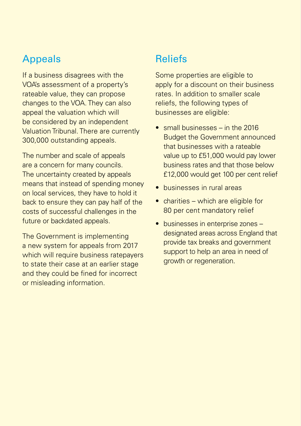#### Appeals

If a business disagrees with the VOA's assessment of a property's rateable value, they can propose changes to the VOA. They can also appeal the valuation which will be considered by an independent Valuation Tribunal. There are currently 300,000 outstanding appeals.

The number and scale of appeals are a concern for many councils. The uncertainty created by appeals means that instead of spending money on local services, they have to hold it back to ensure they can pay half of the costs of successful challenges in the future or backdated appeals.

The Government is implementing a new system for appeals from 2017 which will require business ratepayers to state their case at an earlier stage and they could be fined for incorrect or misleading information.

#### **Reliefs**

Some properties are eligible to apply for a discount on their business rates. In addition to smaller scale reliefs, the following types of businesses are eligible:

- small businesses in the 2016 Budget the Government announced that businesses with a rateable value up to £51,000 would pay lower business rates and that those below £12,000 would get 100 per cent relief
- businesses in rural areas
- $\bullet$  charities which are eligible for 80 per cent mandatory relief
- businesses in enterprise zones designated areas across England that provide tax breaks and government support to help an area in need of growth or regeneration.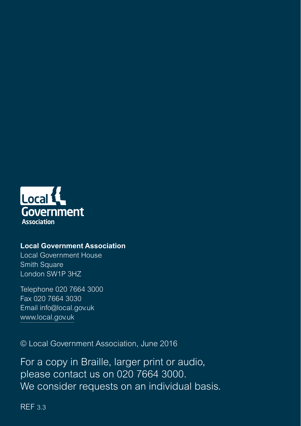

#### **Local Government Association**

Local Government House Smith Square London SW1P 3HZ

Telephone 020 7664 3000 Fax 020 7664 3030 Email info@local.gov.uk www.local.gov.uk

© Local Government Association, June 2016

For a copy in Braille, larger print or audio, please contact us on 020 7664 3000. We consider requests on an individual basis.

REF 3.3